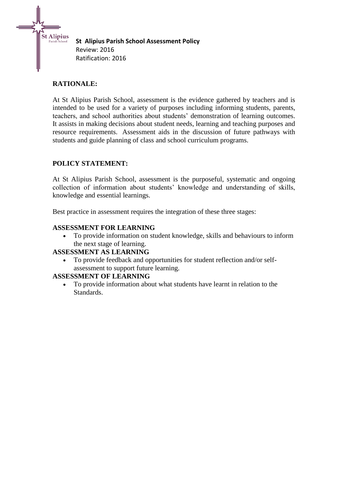**St Alipius Parish School Assessment Policy** Review: 2016 Ratification: 2016

# **RATIONALE:**

St Alipius

At St Alipius Parish School, assessment is the evidence gathered by teachers and is intended to be used for a variety of purposes including informing students, parents, teachers, and school authorities about students' demonstration of learning outcomes. It assists in making decisions about student needs, learning and teaching purposes and resource requirements. Assessment aids in the discussion of future pathways with students and guide planning of class and school curriculum programs.

# **POLICY STATEMENT:**

At St Alipius Parish School, assessment is the purposeful, systematic and ongoing collection of information about students' knowledge and understanding of skills, knowledge and essential learnings.

Best practice in assessment requires the integration of these three stages:

### **ASSESSMENT FOR LEARNING**

 To provide information on student knowledge, skills and behaviours to inform the next stage of learning.

# **ASSESSMENT AS LEARNING**

 To provide feedback and opportunities for student reflection and/or selfassessment to support future learning.

#### **ASSESSMENT OF LEARNING**

 To provide information about what students have learnt in relation to the Standards.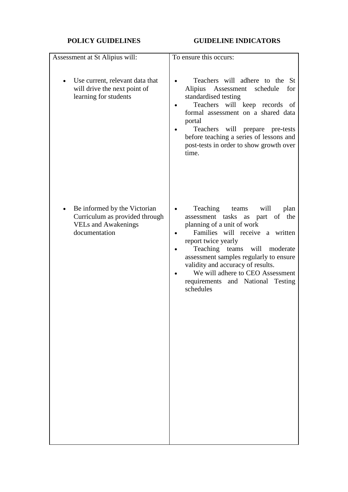# **POLICY GUIDELINES GUIDELINE INDICATORS**

| Teachers will adhere to the St<br>Alipius Assessment schedule<br>for<br>standardised testing<br>Teachers will keep records of<br>formal assessment on a shared data<br>portal<br>Teachers will<br>prepare pre-tests<br>before teaching a series of lessons and<br>post-tests in order to show growth over<br>time.                                                |
|-------------------------------------------------------------------------------------------------------------------------------------------------------------------------------------------------------------------------------------------------------------------------------------------------------------------------------------------------------------------|
| Teaching teams<br>will<br>plan<br>assessment tasks as<br>part of the<br>planning of a unit of work<br>Families will receive a written<br>report twice yearly<br>Teaching teams will moderate<br>assessment samples regularly to ensure<br>validity and accuracy of results.<br>We will adhere to CEO Assessment<br>requirements and National Testing<br>schedules |
|                                                                                                                                                                                                                                                                                                                                                                   |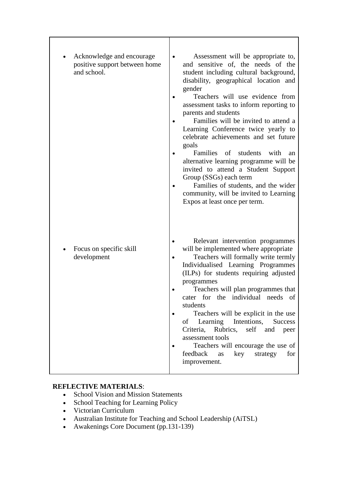| Acknowledge and encourage<br>positive support between home<br>and school. | Assessment will be appropriate to,<br>and sensitive of, the needs of the<br>student including cultural background,<br>disability, geographical location and<br>gender<br>Teachers will use evidence from<br>assessment tasks to inform reporting to<br>parents and students<br>Families will be invited to attend a<br>Learning Conference twice yearly to<br>celebrate achievements and set future<br>goals<br>Families of<br>students<br>with<br>an<br>alternative learning programme will be<br>invited to attend a Student Support<br>Group (SSGs) each term<br>Families of students, and the wider<br>community, will be invited to Learning<br>Expos at least once per term. |
|---------------------------------------------------------------------------|------------------------------------------------------------------------------------------------------------------------------------------------------------------------------------------------------------------------------------------------------------------------------------------------------------------------------------------------------------------------------------------------------------------------------------------------------------------------------------------------------------------------------------------------------------------------------------------------------------------------------------------------------------------------------------|
| Focus on specific skill<br>development                                    | Relevant intervention programmes<br>will be implemented where appropriate<br>Teachers will formally write termly<br>Individualised Learning Programmes<br>(ILPs) for students requiring adjusted<br>programmes<br>Teachers will plan programmes that<br>cater for the individual needs of<br>students<br>Teachers will be explicit in the use<br>of Learning Intentions,<br><b>Success</b><br>Criteria, Rubrics, self and<br>peer<br>assessment tools<br>Teachers will encourage the use of<br>key strategy<br>feedback<br>for<br>as<br>improvement.                                                                                                                               |

# **REFLECTIVE MATERIALS**:

- School Vision and Mission Statements
- School Teaching for Learning Policy
- Victorian Curriculum
- Australian Institute for Teaching and School Leadership (AiTSL)
- Awakenings Core Document (pp.131-139)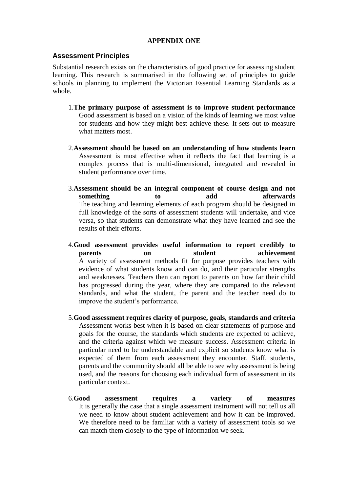#### **APPENDIX ONE**

#### **Assessment Principles**

Substantial research exists on the characteristics of good practice for assessing student learning. This research is summarised in the following set of principles to guide schools in planning to implement the Victorian Essential Learning Standards as a whole.

- 1.**The primary purpose of assessment is to improve student performance** Good assessment is based on a vision of the kinds of learning we most value for students and how they might best achieve these. It sets out to measure what matters most.
- 2.**Assessment should be based on an understanding of how students learn** Assessment is most effective when it reflects the fact that learning is a complex process that is multi-dimensional, integrated and revealed in student performance over time.
- 3.**Assessment should be an integral component of course design and not something** to add afterwards The teaching and learning elements of each program should be designed in full knowledge of the sorts of assessment students will undertake, and vice versa, so that students can demonstrate what they have learned and see the results of their efforts.
- 4.**Good assessment provides useful information to report credibly to parents** on student achievement A variety of assessment methods fit for purpose provides teachers with evidence of what students know and can do, and their particular strengths and weaknesses. Teachers then can report to parents on how far their child has progressed during the year, where they are compared to the relevant standards, and what the student, the parent and the teacher need do to improve the student's performance.
- 5.**Good assessment requires clarity of purpose, goals, standards and criteria** Assessment works best when it is based on clear statements of purpose and goals for the course, the standards which students are expected to achieve, and the criteria against which we measure success. Assessment criteria in particular need to be understandable and explicit so students know what is expected of them from each assessment they encounter. Staff, students, parents and the community should all be able to see why assessment is being used, and the reasons for choosing each individual form of assessment in its particular context.
- 6.**Good assessment requires a variety of measures** It is generally the case that a single assessment instrument will not tell us all we need to know about student achievement and how it can be improved. We therefore need to be familiar with a variety of assessment tools so we can match them closely to the type of information we seek.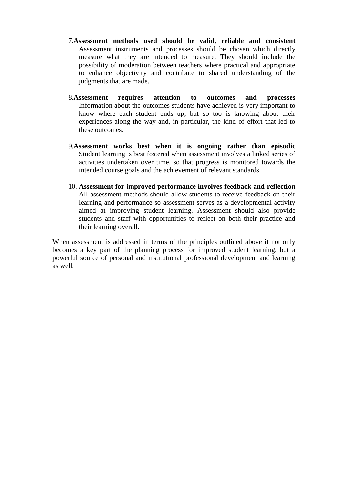- 7.**Assessment methods used should be valid, reliable and consistent** Assessment instruments and processes should be chosen which directly measure what they are intended to measure. They should include the possibility of moderation between teachers where practical and appropriate to enhance objectivity and contribute to shared understanding of the judgments that are made.
- 8.**Assessment requires attention to outcomes and processes** Information about the outcomes students have achieved is very important to know where each student ends up, but so too is knowing about their experiences along the way and, in particular, the kind of effort that led to these outcomes.
- 9.**Assessment works best when it is ongoing rather than episodic** Student learning is best fostered when assessment involves a linked series of activities undertaken over time, so that progress is monitored towards the intended course goals and the achievement of relevant standards.
- 10. **Assessment for improved performance involves feedback and reflection** All assessment methods should allow students to receive feedback on their learning and performance so assessment serves as a developmental activity aimed at improving student learning. Assessment should also provide students and staff with opportunities to reflect on both their practice and their learning overall.

When assessment is addressed in terms of the principles outlined above it not only becomes a key part of the planning process for improved student learning, but a powerful source of personal and institutional professional development and learning as well.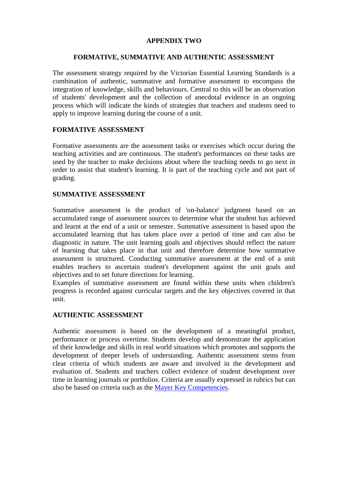#### **APPENDIX TWO**

#### **FORMATIVE, SUMMATIVE AND AUTHENTIC ASSESSMENT**

The assessment strategy required by the Victorian Essential Learning Standards is a combination of authentic, summative and formative assessment to encompass the integration of knowledge, skills and behaviours. Central to this will be an observation of students' development and the collection of anecdotal evidence in an ongoing process which will indicate the kinds of strategies that teachers and students need to apply to improve learning during the course of a unit.

# **FORMATIVE ASSESSMENT**

Formative assessments are the assessment tasks or exercises which occur during the teaching activities and are continuous. The student's performances on these tasks are used by the teacher to make decisions about where the teaching needs to go next in order to assist that student's learning. It is part of the teaching cycle and not part of grading.

### **SUMMATIVE ASSESSMENT**

Summative assessment is the product of 'on-balance' judgment based on an accumulated range of assessment sources to determine what the student has achieved and learnt at the end of a unit or semester. Summative assessment is based upon the accumulated learning that has taken place over a period of time and can also be diagnostic in nature. The unit learning goals and objectives should reflect the nature of learning that takes place in that unit and therefore determine how summative assessment is structured. Conducting summative assessment at the end of a unit enables teachers to ascertain student's development against the unit goals and objectives and to set future directions for learning.

Examples of summative assessment are found within these units when children's progress is recorded against curricular targets and the key objectives covered in that unit.

#### **AUTHENTIC ASSESSMENT**

Authentic assessment is based on the development of a meaningful product, performance or process overtime. Students develop and demonstrate the application of their knowledge and skills in real world situations which promotes and supports the development of deeper levels of understanding. Authentic assessment stems from clear criteria of which students are aware and involved in the development and evaluation of. Students and teachers collect evidence of student development over time in learning journals or portfolios. Criteria are usually expressed in rubrics but can also be based on criteria such as the [Mayer Key Competencies.](about:blank)